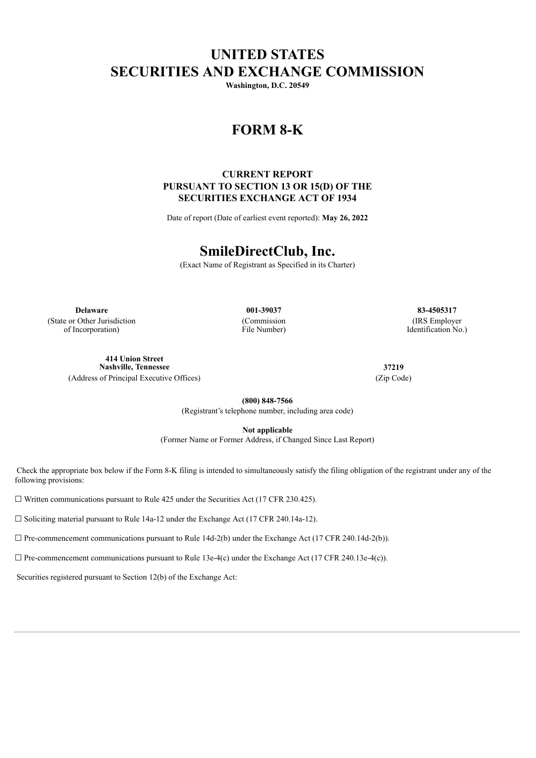# **UNITED STATES SECURITIES AND EXCHANGE COMMISSION**

**Washington, D.C. 20549**

## **FORM 8-K**

## **CURRENT REPORT PURSUANT TO SECTION 13 OR 15(D) OF THE SECURITIES EXCHANGE ACT OF 1934**

Date of report (Date of earliest event reported): **May 26, 2022**

# **SmileDirectClub, Inc.**

(Exact Name of Registrant as Specified in its Charter)

**Delaware 001-39037 83-4505317** (State or Other Jurisdiction of Incorporation)

(Commission File Number)

(IRS Employer Identification No.)

**414 Union Street Nashville, Tennessee 37219** (Address of Principal Executive Offices) (Zip Code)

**(800) 848-7566** (Registrant's telephone number, including area code)

**Not applicable**

(Former Name or Former Address, if Changed Since Last Report)

Check the appropriate box below if the Form 8-K filing is intended to simultaneously satisfy the filing obligation of the registrant under any of the following provisions:

 $\Box$  Written communications pursuant to Rule 425 under the Securities Act (17 CFR 230.425).

☐ Soliciting material pursuant to Rule 14a-12 under the Exchange Act (17 CFR 240.14a-12).

 $\Box$  Pre-commencement communications pursuant to Rule 14d-2(b) under the Exchange Act (17 CFR 240.14d-2(b)).

 $\Box$  Pre-commencement communications pursuant to Rule 13e-4(c) under the Exchange Act (17 CFR 240.13e-4(c)).

Securities registered pursuant to Section 12(b) of the Exchange Act: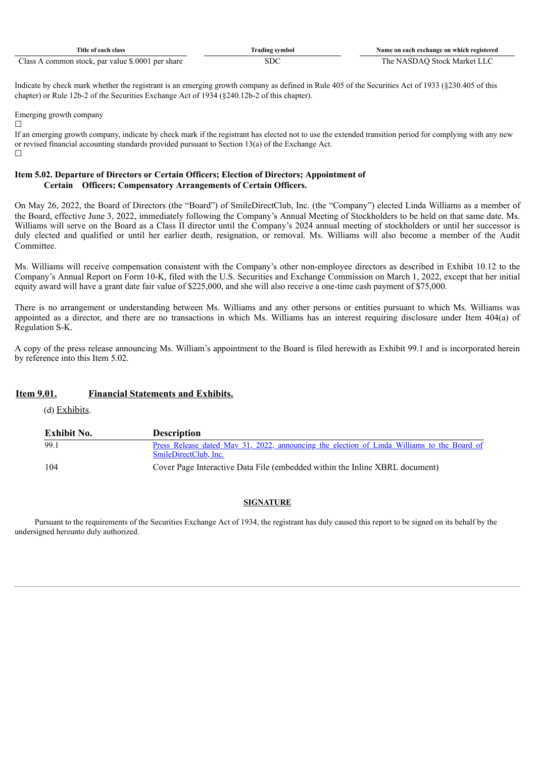| Title of each class                                                     | $\sim$<br>frading symbol | Name on each exchange on which registered |
|-------------------------------------------------------------------------|--------------------------|-------------------------------------------|
| $\sim$<br>.6.0001<br>∠lass<br>per share<br>. common stock.<br>par value | ove                      | Stock Market<br>. IA '                    |

Indicate by check mark whether the registrant is an emerging growth company as defined in Rule 405 of the Securities Act of 1933 (§230.405 of this chapter) or Rule 12b-2 of the Securities Exchange Act of 1934 (§240.12b-2 of this chapter).

Emerging growth company

 $\Box$ 

If an emerging growth company, indicate by check mark if the registrant has elected not to use the extended transition period for complying with any new or revised financial accounting standards provided pursuant to Section 13(a) of the Exchange Act.  $\Box$ 

### **Item 5.02. Departure of Directors or Certain Officers; Election of Directors; Appointment of Certain Officers; Compensatory Arrangements of Certain Officers.**

On May 26, 2022, the Board of Directors (the "Board") of SmileDirectClub, Inc. (the "Company") elected Linda Williams as a member of the Board, effective June 3, 2022, immediately following the Company's Annual Meeting of Stockholders to be held on that same date. Ms. Williams will serve on the Board as a Class II director until the Company's 2024 annual meeting of stockholders or until her successor is duly elected and qualified or until her earlier death, resignation, or removal. Ms. Williams will also become a member of the Audit **Committee** 

Ms. Williams will receive compensation consistent with the Company's other non-employee directors as described in Exhibit 10.12 to the Company's Annual Report on Form 10-K, filed with the U.S. Securities and Exchange Commission on March 1, 2022, except that her initial equity award will have a grant date fair value of \$225,000, and she will also receive a one-time cash payment of \$75,000.

There is no arrangement or understanding between Ms. Williams and any other persons or entities pursuant to which Ms. Williams was appointed as a director, and there are no transactions in which Ms. Williams has an interest requiring disclosure under Item 404(a) of Regulation S-K.

A copy of the press release announcing Ms. William's appointment to the Board is filed herewith as Exhibit 99.1 and is incorporated herein by reference into this Item 5.02.

## **Item 9.01. Financial Statements and Exhibits.**

(d) Exhibits.

| Exhibit No. | <b>Description</b>                                                                                 |
|-------------|----------------------------------------------------------------------------------------------------|
| 99.1        | <u>Press Release dated May 31, 2022, announcing the election of Linda Williams to the Board of</u> |
|             | SmileDirectClub, Inc.                                                                              |
| 104         | Cover Page Interactive Data File (embedded within the Inline XBRL document)                        |

### **SIGNATURE**

Pursuant to the requirements of the Securities Exchange Act of 1934, the registrant has duly caused this report to be signed on its behalf by the undersigned hereunto duly authorized.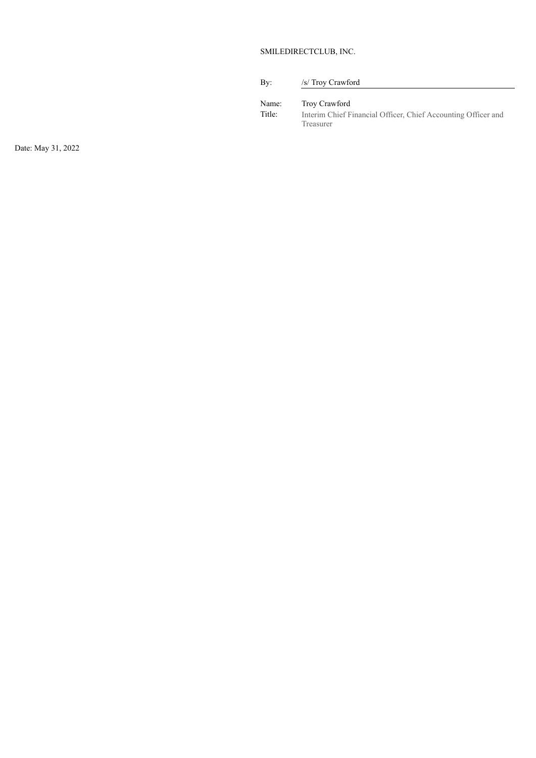### SMILEDIRECTCLUB, INC.

| By:             | /s/ Troy Crawford                                                                           |
|-----------------|---------------------------------------------------------------------------------------------|
| Name:<br>Title: | Troy Crawford<br>Interim Chief Financial Officer, Chief Accounting Officer and<br>Treasurer |

Date: May 31, 2022